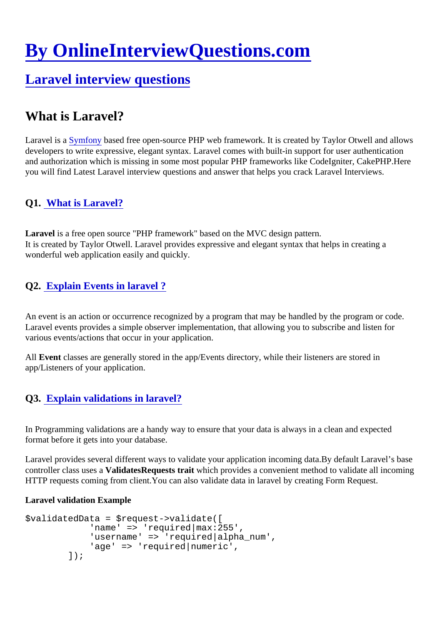# [By OnlineInterviewQuestions.com](https://www.onlineinterviewquestions.com/)

# [Laravel interview questions](https://www.onlineinterviewquestions.com/laravel-interview-questions/)

# What is Laravel?

Laravel is [a Symfony](https://www.onlineinterviewquestions.com/laravel-interview-questions/) based free open-source PHP web framework. It is created by Taylor Otwell and allows developers to write expressive, elegant syntax. Laravel comes with built-in support for user authentication and authorization which is missing in some most popular PHP frameworks like CodeIgniter, CakePHP.Her you will find Latest Laravel interview questions and answer that helps you crack Laravel Interviews.

## Q1. [What is Laravel?](https://www.onlineinterviewquestions.com/what-is-laravel/)

Laravel is a free open source "PHP framework" based on the MVC design pattern. It is created by Taylor Otwell. Laravel provides expressive and elegant syntax that helps in creating a wonderful web application easily and quickly.

# Q2. Explain Events in laravel?

An event is an action or occurrence recognized by a program that may be handled by the program or code. Laravel events provides a simple observer implementation, that allowing you to subscribe and listen for various events/actions that occur in your application.

All Event classes are generally stored in the app/Events directory, while their listeners are stored in app/Listeners of your application.

#### Q3. [Explain validations in laravel?](https://www.onlineinterviewquestions.com/explain-validations-laravel/)

In Programming validations are a handy way to ensure that your data is always in a clean and expected format before it gets into your database.

Laravel provides several different ways to validate your application incoming data.By default Laravel's base controller class uses ValidatesRequeststrait which provides a convenient method to validate all incoming HTTP requests coming from client.You can also validate data in laravel by creating Form Request.

Laravel validation Example

```
$validatedData = $request->validate([
         'name' => 'required|max:255',
         'username' => 'required|alpha_num',
         'age' => 'required|numeric',
     \vert);
```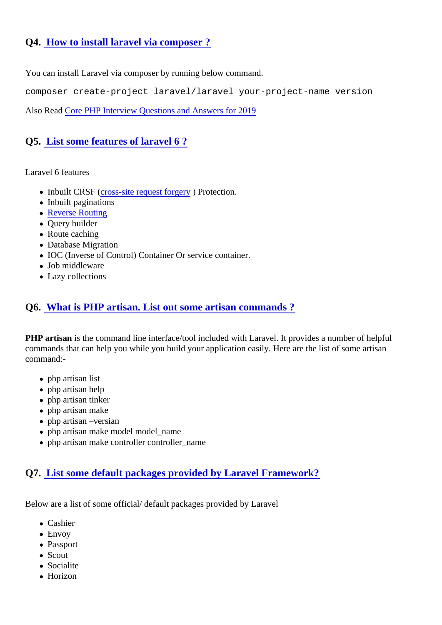## Q4. [How to install laravel via composer ?](https://www.onlineinterviewquestions.com/install-laravel-via-composer/)

You can install Laravel via composer by running below command.

composer create-project laravel/laravel your-project-name version

Also Rea[d Core PHP Interview Questions and Answers for 2](https://www.onlineinterviewquestions.com/blog/how-to-face-php-interview-tips-and-advice/)019

#### Q5. [List some features of laravel 6](https://www.onlineinterviewquestions.com/list-features-laravel-5-0/) ?

#### Laravel 6 features

- •Inbuilt CRSF (ross-site request forge) Protection.
- Inbuilt paginations
- [Reverse Routin](https://www.onlineinterviewquestions.com/reverse-routing-laravel/)g
- Query builder
- Route caching
- Database Migration
- IOC (Inverse of Control) Container Or service container.
- Job middleware
- Lazy collections

#### Q6. [What is PHP artisan. List out some artisan commands](https://www.onlineinterviewquestions.com/php-artisan-list-artisan-commands/) ?

PHP artisan is the command line interface/tool included with Laravel. It provides a number of helpful commands that can help you while you build your application easily. Here are the list of some artisan command:-

- php artisan list
- php artisan help
- php artisan tinker
- php artisan make
- php artisan –versian
- php artisan make model model\_name
- php artisan make controller controller\_name

#### Q7. [List some default packages provided by Laravel Framework](https://www.onlineinterviewquestions.com/ist-default-packages-provided-laravel-5/)?

Below are a list of some official/ default packages provided by Laravel

- Cashier
- Envov
- Passport
- Scout
- Socialite
- Horizon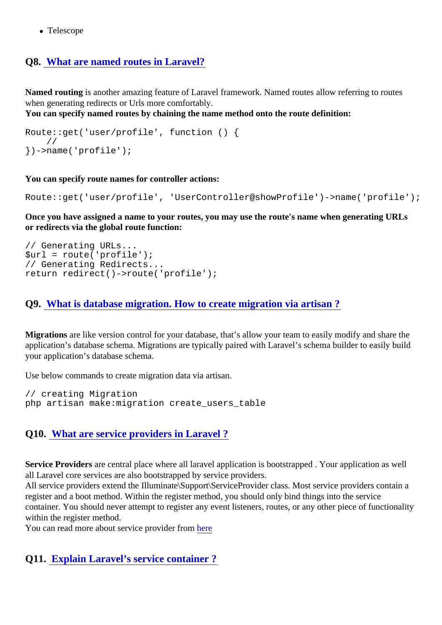• Telescope

# Q8. [What are named routes in Laravel?](https://www.onlineinterviewquestions.com/named-routes-laravel/)

Named routing is another amazing feature of Laravel framework. Named routes allow referring to routes when generating redirects or Urls more comfortably.

You can specify named routes by chaining the name method onto the route definition:

Route::get('user/profile', function () { // })->name('profile');

You can specify route names for controller actions:

Route::get('user/profile', 'UserController@showProfile')->name('profile');

Once you have assigned a name to your routes, you may use the route's name when generating URLs or redirects via the global route function:

// Generating URLs...  $$url = route('profile');$ // Generating Redirects... return redirect()->route('profile');

#### Q9. [What is database migration. How to create migration via artisan](https://www.onlineinterviewquestions.com/database-migration-create-migration-via-artisan/) ?

Migrations are like version control for your database, that's allow your team to easily modify and share the application's database schema. Migrations are typically paired with Laravel's schema builder to easily buil your application's database schema.

Use below commands to create migration data via artisan.

// creating Migration php artisan make:migration create\_users\_table

# Q10. [What are service providers in Laravel ?](https://www.onlineinterviewquestions.com/what-are-service-providers/)

Service Providersare central place where all laravel application is bootstrapped. Your application as well all Laravel core services are also bootstrapped by service providers.

All service providers extend the Illuminate\Support\ServiceProvider class. Most service providers contain a register and a boot method. Within the register method, you should only bind things into the service container. You should never attempt to register any event listeners, routes, or any other piece of functional within the register method.

You can read more about service provider from

Q11. [Explain Laravel's service container ?](https://www.onlineinterviewquestions.com/explain-laravels-service-container/)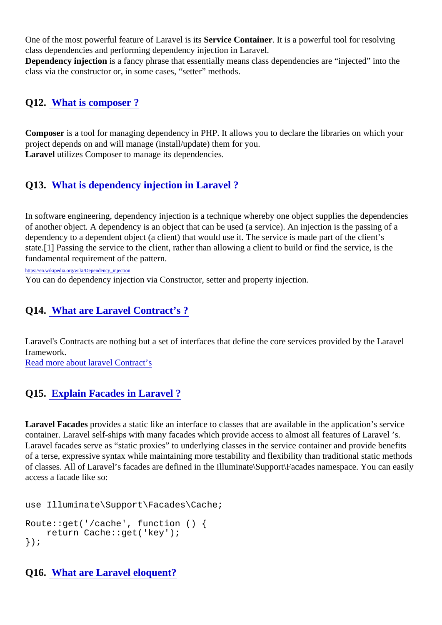One of the most powerful feature of Laravel is subsetice Container. It is a powerful tool for resolving class dependencies and performing dependency injection in Laravel. Dependency injectionis a fancy phrase that essentially means class dependencies are "injected" into the class via the constructor or, in some cases, "setter" methods.

Q12. [What is composer ?](https://www.onlineinterviewquestions.com/what-is-composer/)

Composeris a tool for managing dependency in PHP. It allows you to declare the libraries on which your project depends on and will manage (install/update) them for you. Laravel utilizes Composer to manage its dependencies.

#### Q13. [What is dependency injection in Laravel ?](https://www.onlineinterviewquestions.com/dependency-injection-laravel/)

In software engineering, dependency injection is a technique whereby one object supplies the dependencies of another object. A dependency is an object that can be used (a service). An injection is the passing of a dependency to a dependent object (a client) that would use it. The service is made part of the client's state.[1] Passing the service to the client, rather than allowing a client to build or find the service, is the fundamental requirement of the pattern.

[https://en.wikipedia.org/wiki/Dependency\\_inject](https://en.wikipedia.org/wiki/Dependency_injection)ion

You can do dependency injection via Constructor, setter and property injection.

#### Q14. [What are Laravel Contract's ?](https://www.onlineinterviewquestions.com/what-are-laravel-contracts/)

Laravel's Contracts are nothing but a set of interfaces that define the core services provided by the Larave framework.

[Read more about laravel Contrac](https://laravel.com/docs/5.6/contracts)t's

#### Q15. [Explain Facades in Laravel ?](https://www.onlineinterviewquestions.com/explain-facades-laravel/)

Laravel Facades provides a static like an interface to classes that are available in the application's service container. Laravel self-ships with many facades which provide access to almost all features of Laravel 's. Laravel facades serve as "static proxies" to underlying classes in the service container and provide benefit of a terse, expressive syntax while maintaining more testability and flexibility than traditional static method of classes. All of Laravel's facades are defined in the Illuminate\Support\Facades namespace. You can ea access a facade like so:

use Illuminate\Support\Facades\Cache;

```
Route::get('/cache', function () {
   return Cache::get('key');
});
```

```
Q16. What are Laravel eloquent?
```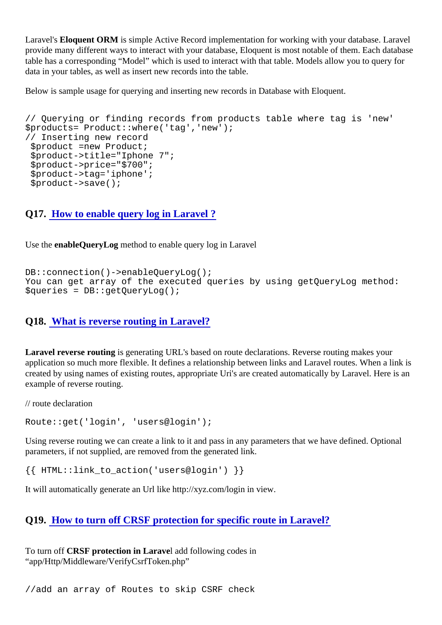Laravel's Eloquent ORM is simple Active Record implementation for working with your database. Laravel provide many different ways to interact with your database, Eloquent is most notable of them. Each databa table has a corresponding "Model" which is used to interact with that table. Models allow you to query for data in your tables, as well as insert new records into the table.

Below is sample usage for querying and inserting new records in Database with Eloquent.

// Querying or finding records from products table where tag is 'new' \$products= Product::where('tag','new'); // Inserting new record \$product =new Product; \$product->title="Iphone 7"; \$product->price="\$700"; \$product->tag='iphone'; \$product->save();

Q17. [How to enable query log in Laravel ?](https://www.onlineinterviewquestions.com/enable-query-log-laravel/)

Use the enable Query Logmethod to enable query log in Laravel

DB::connection()->enableQueryLog(); You can get array of the executed queries by using getQueryLog method: \$queries = DB::getQueryLog();

#### Q18. [What is reverse routing in Laravel?](https://www.onlineinterviewquestions.com/reverse-routing-laravel/)

Laravel reverse routing is generating URL's based on route declarations. Reverse routing makes your application so much more flexible. It defines a relationship between links and Laravel routes. When a link is created by using names of existing routes, appropriate Uri's are created automatically by Laravel. Here is example of reverse routing.

// route declaration

Route::get('login', 'users@login');

Using reverse routing we can create a link to it and pass in any parameters that we have defined. Optional parameters, if not supplied, are removed from the generated link.

{{ HTML::link\_to\_action('users@login') }}

It will automatically generate an Url like http://xyz.com/login in view.

Q19. [How to turn off CRSF protection for specific route in Laravel?](https://www.onlineinterviewquestions.com/turn-off-crsf-protection-specific-route-laravel/)

To turn off CRSF protection in Laravel add following codes in "app/Http/Middleware/VerifyCsrfToken.php"

//add an array of Routes to skip CSRF check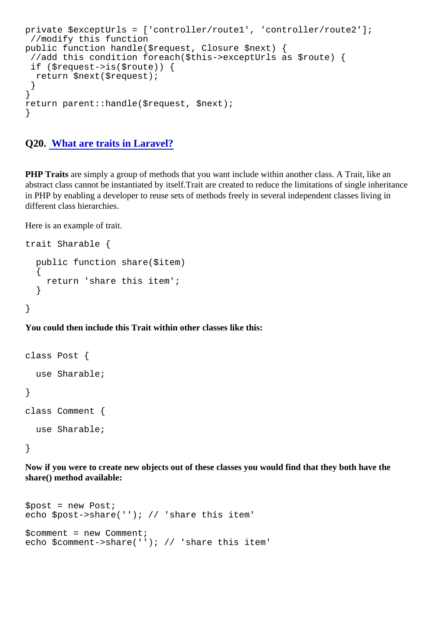```
private $exceptUrls = ['controller/route1', 'controller/route2'];
 //modify this function
public function handle($request, Closure $next) {
 //add this condition foreach($this->exceptUrls as $route) {
 if ($request->is($route)) {
  return $next($request);
 }
}
return parent::handle($request, $next);
}
```

```
Q20. What are traits in Laravel?
```
PHP Traits are simply a group of methods that you want include within another class. A Trait, like an abstract class cannot be instantiated by itself. Trait are created to reduce the limitations of single inheritand in PHP by enabling a developer to reuse sets of methods freely in several independent classes living in different class hierarchies.

Here is an example of trait.

```
trait Sharable {
```

```
 public function share($item)
 {
   return 'share this item';
  }
```
}

You could then include this Trait within other classes like this:

class Post {

use Sharable;

}

```
class Comment {
```

```
 use Sharable;
```
}

Now if you were to create new objects out of these classes you would find that they both have the share() method available:

\$post = new Post; echo \$post->share(''); // 'share this item'

```
$comment = new Comment;
echo $comment->share(''); // 'share this item'
```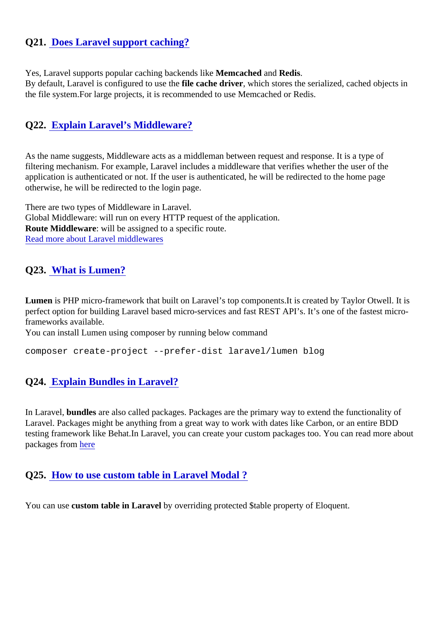# Q21. [Does Laravel support caching?](https://www.onlineinterviewquestions.com/laravel-support-caching/)

Yes, Laravel supports popular caching backends like meached and Redis.

By default, Laravel is configured to use file cache driver, which stores the serialized, cached objects in the file system.For large projects, it is recommended to use Memcached or Redis.

#### Q22. [Explain Laravel's Middleware?](https://www.onlineinterviewquestions.com/explain-laravels-middleware/)

As the name suggests, Middleware acts as a middleman between request and response. It is a type of filtering mechanism. For example, Laravel includes a middleware that verifies whether the user of the application is authenticated or not. If the user is authenticated, he will be redirected to the home page otherwise, he will be redirected to the login page.

There are two types of Middleware in Laravel. Global Middleware: will run on every HTTP request of the application. Route Middleware: will be assigned to a specific route. [Read more about Laravel middlewa](/blog/laravel-5-5-middleware-complete-tutorial/)res

#### Q23. [What is Lumen?](https://www.onlineinterviewquestions.com/what-is-lumen/)

Lumen is PHP micro-framework that built on Laravel's top components.It is created by Taylor Otwell. It is perfect option for building Laravel based micro-services and fast REST API's. It's one of the fastest microframeworks available.

You can install Lumen using composer by running below command

composer create-project --prefer-dist laravel/lumen blog

#### Q24. [Explain Bundles in Laravel?](https://www.onlineinterviewquestions.com/explain-bundles-laravel/)

In Laravel, bundles are also called packages. Packages are the primary way to extend the functionality of Laravel. Packages might be anything from a great way to work with dates like Carbon, or an entire BDD testing framework like Behat.In Laravel, you can create your custom packages too. You can read more ab packages fro[m here](https://laravel.com/docs/5.8/packages)

Q25. [How to use custom table in Laravel Modal ?](https://www.onlineinterviewquestions.com/use-custom-table-laravel-modal/)

You can use ustom table in Laravel by overriding protected \$table property of Eloquent.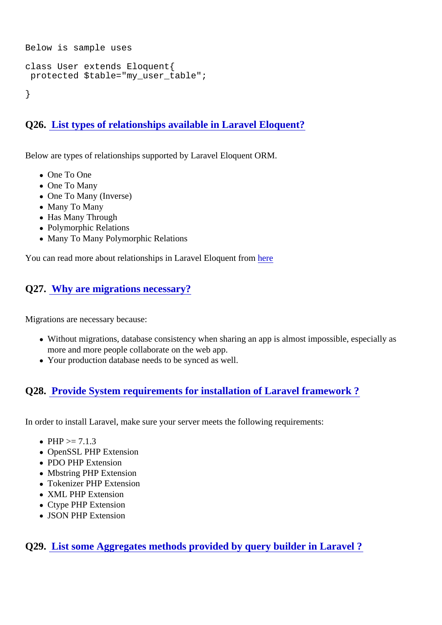Below is sample uses

class User extends Eloquent{ protected \$table="my\_user\_table";

}

Q26. [List types of relationships available in Laravel Eloquent?](https://www.onlineinterviewquestions.com/list-types-relationships-available-laravel-eloquent/)

Below are types of relationships supported by Laravel Eloquent ORM.

- One To One
- One To Many
- One To Many (Inverse)
- Many To Many
- Has Many Through
- Polymorphic Relations
- Many To Many Polymorphic Relations

You can read more about relationships in Laravel Eloquent [here](https://laravel.com/docs/5.4/eloquent-relationships)

## Q27. [Why are migrations necessary](https://www.onlineinterviewquestions.com/why-are-migrations-necessary/)?

Migrations are necessary because:

- Without migrations, database consistency when sharing an app is almost impossible, especially as more and more people collaborate on the web app.
- Your production database needs to be synced as well.

Q28. [Provide System requirements for installation of Laravel framework ?](https://www.onlineinterviewquestions.com/provide-system-requirements-installation-laravel-5-4/)

In order to install Laravel, make sure your server meets the following requirements:

- $PHP \ge 7.1.3$
- OpenSSL PHP Extension
- PDO PHP Extension
- Mbstring PHP Extension
- Tokenizer PHP Extension
- XML PHP Extension
- Ctype PHP Extension
- JSON PHP Extension

Q29. [List some Aggregates methods provided by query builder in Laravel](https://www.onlineinterviewquestions.com/list-some-aggregates-methods-provided-by-query-builder-in-laravel/) ?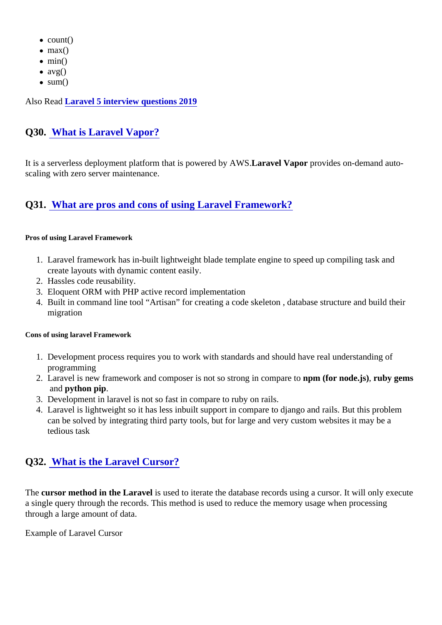- $\bullet$  count()
- $\bullet$  max()
- $\bullet$  min()
- $\bullet$  avg()
- $\bullet$  sum()

Also Rea[d Laravel 5 interview questions 201](https://www.onlineinterviewquestions.com/laravel-interview-questions-and-answers/)9

# Q30. [What is Laravel Vapor?](https://www.onlineinterviewquestions.com/what-is-laravel-vapor/)

It is a serverless deployment platform that is powered by **A&W** avel Vapor provides on-demand autoscaling with zero server maintenance.

# Q31. [What are pros and cons of using Laravel Framework](https://www.onlineinterviewquestions.com/pros-cons-using-laravel-framework/)?

Pros of using Laravel Framework

- 1. Laravel framework has in-built lightweight blade template engine to speed up compiling task and create layouts with dynamic content easily.
- 2. Hassles code reusability.
- 3. Eloquent ORM with PHP active record implementation
- 4. Built in command line tool "Artisan" for creating a code skeleton , database structure and build their migration

Cons of using laravel Framework

- 1. Development process requires you to work with standards and should have real understanding of programming
- 2. Laravel is new framework and composer is not so strong in compapento for node.js), ruby gems and python pip.
- 3. Development in laravel is not so fast in compare to ruby on rails.
- 4. Laravel is lightweight so it has less inbuilt support in compare to django and rails. But this problem can be solved by integrating third party tools, but for large and very custom websites it may be a tedious task

#### Q32. [What is the Laravel Cursor?](https://www.onlineinterviewquestions.com/what-is-the-laravel-cursor/)

The cursor method in the Laravelis used to iterate the database records using a cursor. It will only execute a single query through the records. This method is used to reduce the memory usage when processing through a large amount of data.

Example of Laravel Cursor